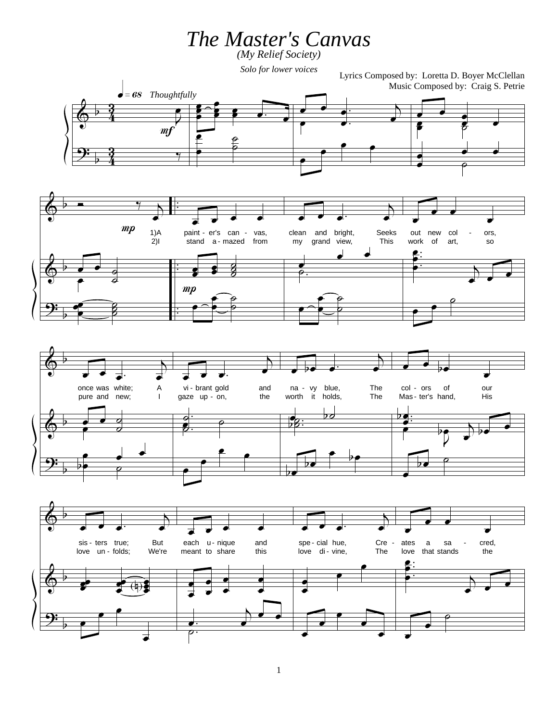*The Master's Canvas (My Relief Society)*

*Solo for lower voices*

Lyrics Composed by: Loretta D. Boyer McClellan Music Composed by: Craig S. Petrie

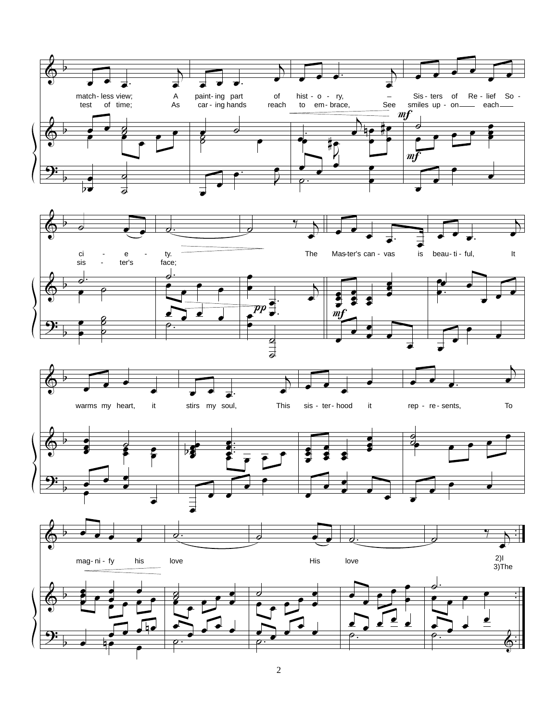